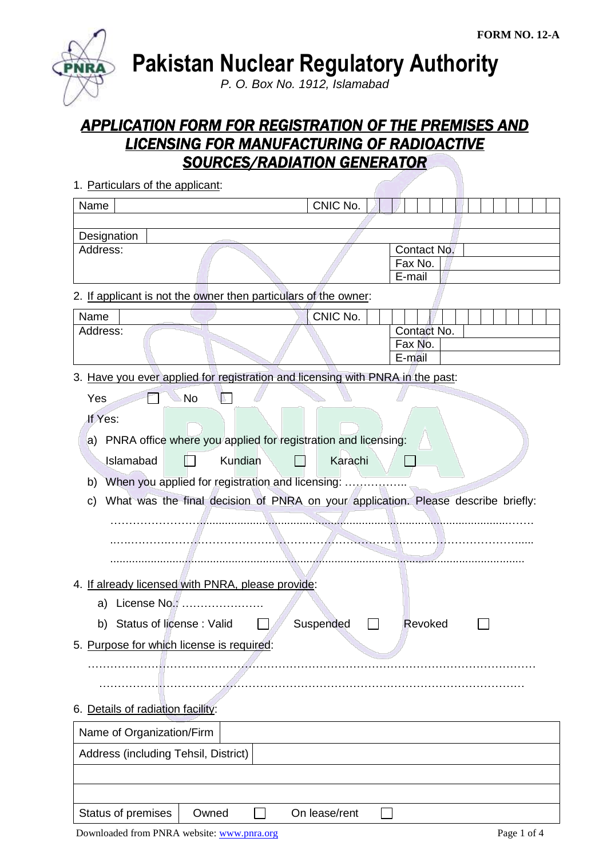

**Pakistan Nuclear Regulatory Authority**

*P. O. Box No. 1912, Islamabad*

# *APPLICATION FORM FOR REGISTRATION OF THE PREMISES AND LICENSING FOR MANUFACTURING OF RADIOACTIVE SOURCES/RADIATION GENERATOR*

1. Particulars of the applicant: Name Name  $\vert$  CNIC No. **Designation** Address: Contact No. Fax No. E-mail 2. If applicant is not the owner then particulars of the owner: Name Name CNIC No. Address: Contact No. Fax No. E-mail 3. Have you ever applied for registration and licensing with PNRA in the past:  $Yes \t N$ o  $\blacksquare$ If Yes: a) PNRA office where you applied for registration and licensing: Islamabad Kundian Karachi  $\Box$ b) When you applied for registration and licensing: ................. c) What was the final decision of PNRA on your application. Please describe briefly: ……………………...................................................................................................……. ..….……….……………………….…………………………………………………………..... ..................................................................................................................................... 4. If already licensed with PNRA, please provide: a) License No.: …………………. b) Status of license : Valid  $\Box$  Suspended  $\Box$  Revoked  $\Box$ 5. Purpose for which license is required: ………………………………………………………………………………………………………… …………………………………………………………………………………………………… 6. Details of radiation facility:

| Name of Organization/Firm            |       |  |               |  |  |
|--------------------------------------|-------|--|---------------|--|--|
| Address (including Tehsil, District) |       |  |               |  |  |
|                                      |       |  |               |  |  |
|                                      |       |  |               |  |  |
| <b>Status of premises</b>            | Owned |  | On lease/rent |  |  |
|                                      |       |  |               |  |  |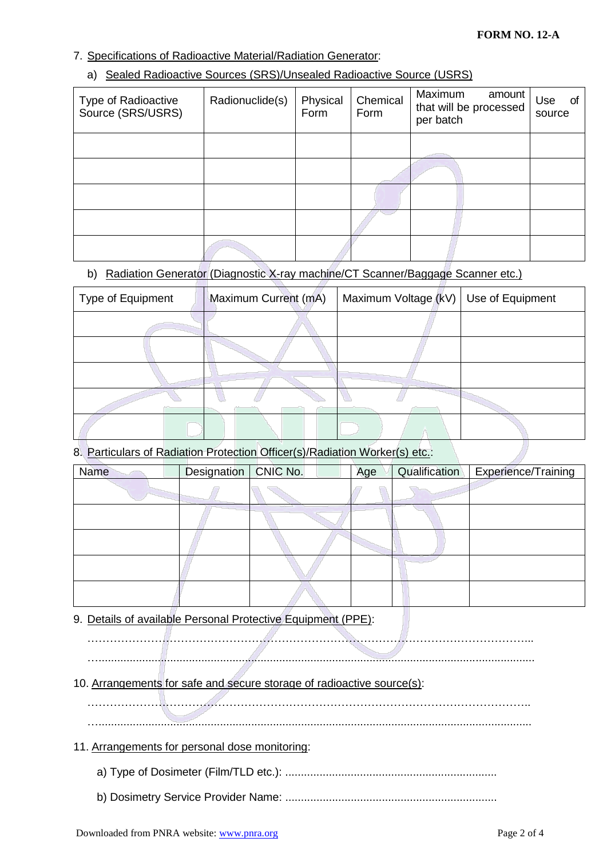## 7. Specifications of Radioactive Material/Radiation Generator:

#### a) Sealed Radioactive Sources (SRS)/Unsealed Radioactive Source (USRS)

| Type of Radioactive<br>Source (SRS/USRS) | Radionuclide(s) | Physical<br>Form | Chemical<br>Form | Maximum<br>amount<br>that will be processed<br>per batch | Use<br>0f<br>source |
|------------------------------------------|-----------------|------------------|------------------|----------------------------------------------------------|---------------------|
|                                          |                 |                  |                  |                                                          |                     |
|                                          |                 |                  |                  |                                                          |                     |
|                                          |                 |                  |                  |                                                          |                     |
|                                          |                 |                  |                  |                                                          |                     |
|                                          |                 |                  |                  |                                                          |                     |

## b) Radiation Generator (Diagnostic X-ray machine/CT Scanner/Baggage Scanner etc.)

| Type of Equipment | Maximum Current (mA) | Maximum Voltage (kV)   Use of Equipment |  |
|-------------------|----------------------|-----------------------------------------|--|
|                   |                      |                                         |  |
|                   |                      |                                         |  |
|                   |                      |                                         |  |
|                   |                      |                                         |  |
|                   |                      |                                         |  |

## 8. Particulars of Radiation Protection Officer(s)/Radiation Worker(s) etc.:

| <b>Name</b> | Designation   CNIC No. | Age | Qualification | Experience/Training |
|-------------|------------------------|-----|---------------|---------------------|
|             |                        |     |               |                     |
|             |                        |     |               |                     |
|             |                        |     |               |                     |
|             |                        |     |               |                     |
|             |                        |     |               |                     |

## 9. Details of available Personal Protective Equipment (PPE):

………………………………………………………………………………………………………... …............................................................................................................................................

## 10. Arrangements for safe and secure storage of radioactive source(s):

………………………………………………………………………………………………………..

## 11. Arrangements for personal dose monitoring:

- a) Type of Dosimeter (Film/TLD etc.): ....................................................................
- b) Dosimetry Service Provider Name: ....................................................................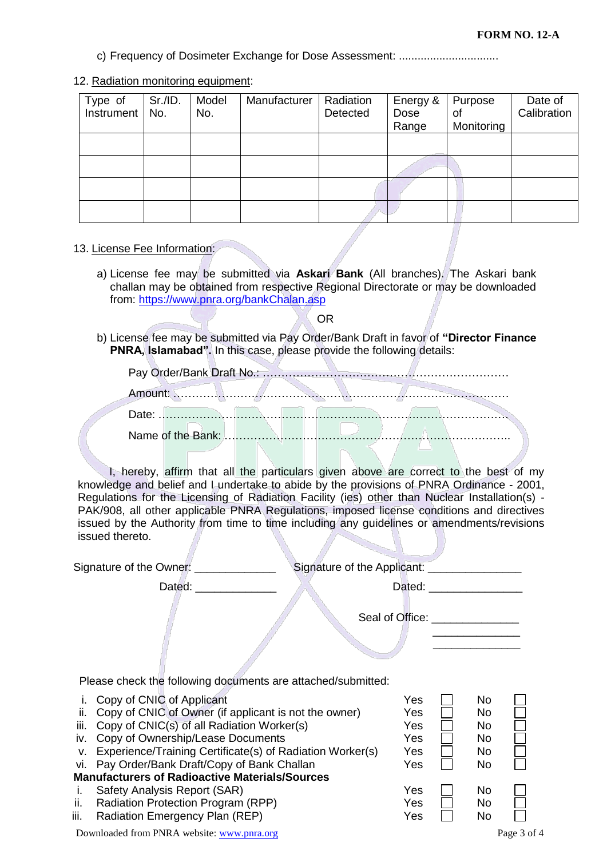c) Frequency of Dosimeter Exchange for Dose Assessment: ................................

#### 12. Radiation monitoring equipment:

| Type of<br>Instrument | Sr./ID.<br>No. | Model<br>No. | Manufacturer | Radiation<br>Detected | Energy &<br>Dose<br>Range | Purpose<br>οf<br>Monitoring | Date of<br>Calibration |
|-----------------------|----------------|--------------|--------------|-----------------------|---------------------------|-----------------------------|------------------------|
|                       |                |              |              |                       |                           |                             |                        |
|                       |                |              |              |                       |                           |                             |                        |
|                       |                |              |              |                       |                           |                             |                        |
|                       |                |              |              |                       |                           |                             |                        |

#### 13. License Fee Information:

a) License fee may be submitted via **Askari Bank** (All branches). The Askari bank challan may be obtained from respective Regional Directorate or may be downloaded from:<https://www.pnra.org/bankChalan.asp>

OR

b) License fee may be submitted via Pay Order/Bank Draft in favor of **"Director Finance PNRA, Islamabad".** In this case, please provide the following details:

I, hereby, affirm that all the particulars given above are correct to the best of my knowledge and belief and I undertake to abide by the provisions of PNRA Ordinance - 2001, Regulations for the Licensing of Radiation Facility (ies) other than Nuclear Installation(s) -PAK/908, all other applicable PNRA Regulations, imposed license conditions and directives issued by the Authority from time to time including any guidelines or amendments/revisions issued thereto.

|            | Signature of the Owner:                                                                                                                                                                                                                                                                        | Signature of the Applicant: |                                        |                                                                   |  |
|------------|------------------------------------------------------------------------------------------------------------------------------------------------------------------------------------------------------------------------------------------------------------------------------------------------|-----------------------------|----------------------------------------|-------------------------------------------------------------------|--|
|            | Dated:                                                                                                                                                                                                                                                                                         |                             | Dated:                                 |                                                                   |  |
|            |                                                                                                                                                                                                                                                                                                | Seal of Office:             |                                        |                                                                   |  |
|            |                                                                                                                                                                                                                                                                                                |                             |                                        |                                                                   |  |
|            | Please check the following documents are attached/submitted:                                                                                                                                                                                                                                   |                             |                                        |                                                                   |  |
| iii.<br>V. | i. Copy of CNIC of Applicant<br>ii. Copy of CNIC of Owner (if applicant is not the owner)<br>Copy of CNIC(s) of all Radiation Worker(s)<br>iv. Copy of Ownership/Lease Documents<br>Experience/Training Certificate(s) of Radiation Worker(s)<br>vi. Pay Order/Bank Draft/Copy of Bank Challan |                             | Yes<br>Yes<br>Yes<br>Yes<br>Yes<br>Yes | No.<br>No.<br>N <sub>o</sub><br><b>No</b><br>N <sub>o</sub><br>No |  |

## **Manufacturers of Radioactive Materials/Sources**

- i. Safety Analysis Report (SAR) No Yes No
- ii. Radiation Protection Program (RPP)  $Yes \tN$  No
- iii. Radiation Emergency Plan  $(REF)$   $Yes$  No

Downloaded from PNRA website: [www.pnra.org](http://www.pnra.org/) Page 3 of 4